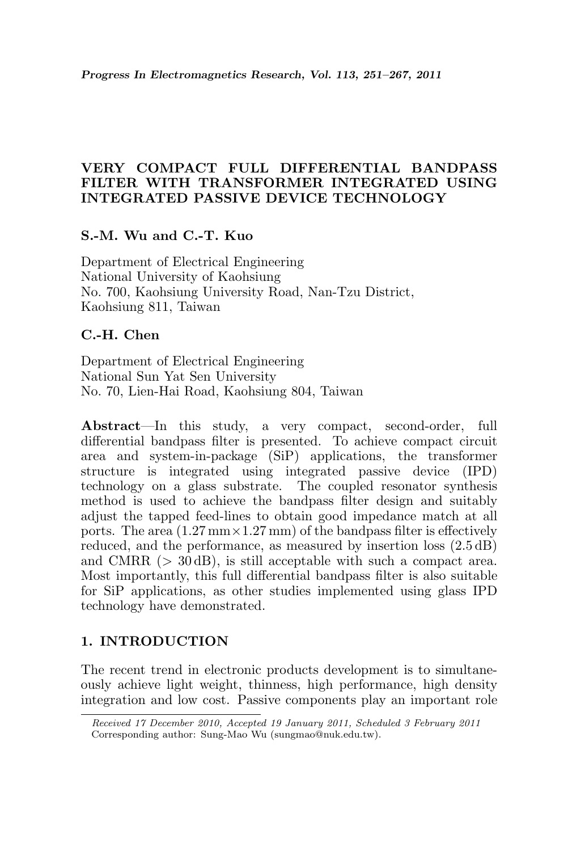## VERY COMPACT FULL DIFFERENTIAL BANDPASS FILTER WITH TRANSFORMER INTEGRATED USING INTEGRATED PASSIVE DEVICE TECHNOLOGY

## S.-M. Wu and C.-T. Kuo

Department of Electrical Engineering National University of Kaohsiung No. 700, Kaohsiung University Road, Nan-Tzu District, Kaohsiung 811, Taiwan

# C.-H. Chen

Department of Electrical Engineering National Sun Yat Sen University No. 70, Lien-Hai Road, Kaohsiung 804, Taiwan

Abstract—In this study, a very compact, second-order, full differential bandpass filter is presented. To achieve compact circuit area and system-in-package (SiP) applications, the transformer structure is integrated using integrated passive device (IPD) technology on a glass substrate. The coupled resonator synthesis method is used to achieve the bandpass filter design and suitably adjust the tapped feed-lines to obtain good impedance match at all ports. The area  $(1.27 \text{ mm} \times 1.27 \text{ mm})$  of the bandpass filter is effectively reduced, and the performance, as measured by insertion loss (2.5 dB) and CMRR  $(> 30 \text{ dB})$ , is still acceptable with such a compact area. Most importantly, this full differential bandpass filter is also suitable for SiP applications, as other studies implemented using glass IPD technology have demonstrated.

### 1. INTRODUCTION

The recent trend in electronic products development is to simultaneously achieve light weight, thinness, high performance, high density integration and low cost. Passive components play an important role

Received 17 December 2010, Accepted 19 January 2011, Scheduled 3 February 2011 Corresponding author: Sung-Mao Wu (sungmao@nuk.edu.tw).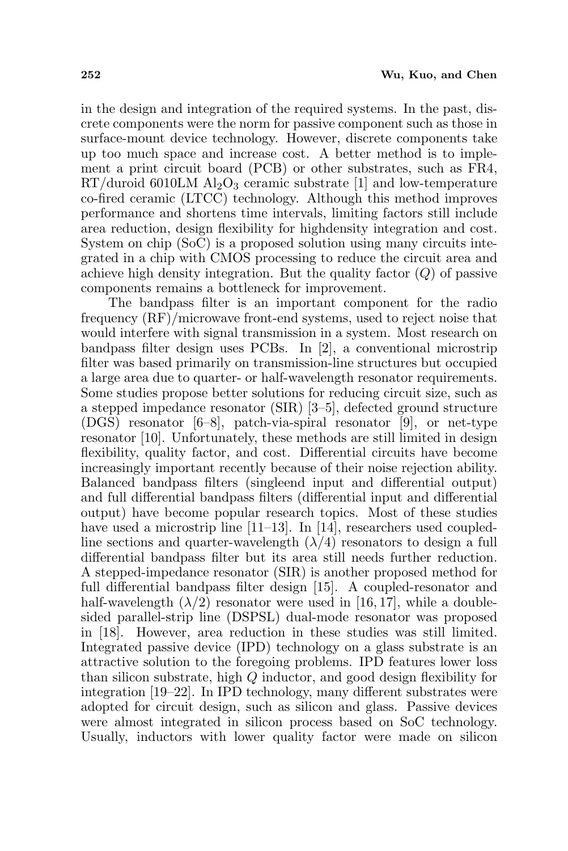in the design and integration of the required systems. In the past, discrete components were the norm for passive component such as those in surface-mount device technology. However, discrete components take up too much space and increase cost. A better method is to implement a print circuit board (PCB) or other substrates, such as FR4,  $RT/duroid 6010LM Al<sub>2</sub>O<sub>3</sub> ceramic substrate [1] and low-temperature$ co-fired ceramic (LTCC) technology. Although this method improves performance and shortens time intervals, limiting factors still include area reduction, design flexibility for highdensity integration and cost. System on chip (SoC) is a proposed solution using many circuits integrated in a chip with CMOS processing to reduce the circuit area and achieve high density integration. But the quality factor  $(Q)$  of passive components remains a bottleneck for improvement.

The bandpass filter is an important component for the radio frequency (RF)/microwave front-end systems, used to reject noise that would interfere with signal transmission in a system. Most research on bandpass filter design uses PCBs. In [2], a conventional microstrip filter was based primarily on transmission-line structures but occupied a large area due to quarter- or half-wavelength resonator requirements. Some studies propose better solutions for reducing circuit size, such as a stepped impedance resonator (SIR) [3–5], defected ground structure (DGS) resonator [6–8], patch-via-spiral resonator [9], or net-type resonator [10]. Unfortunately, these methods are still limited in design flexibility, quality factor, and cost. Differential circuits have become increasingly important recently because of their noise rejection ability. Balanced bandpass filters (singleend input and differential output) and full differential bandpass filters (differential input and differential output) have become popular research topics. Most of these studies have used a microstrip line [11–13]. In [14], researchers used coupledline sections and quarter-wavelength  $(\lambda/4)$  resonators to design a full differential bandpass filter but its area still needs further reduction. A stepped-impedance resonator (SIR) is another proposed method for full differential bandpass filter design [15]. A coupled-resonator and half-wavelength  $(\lambda/2)$  resonator were used in [16, 17], while a doublesided parallel-strip line (DSPSL) dual-mode resonator was proposed in [18]. However, area reduction in these studies was still limited. Integrated passive device (IPD) technology on a glass substrate is an attractive solution to the foregoing problems. IPD features lower loss than silicon substrate, high Q inductor, and good design flexibility for integration [19–22]. In IPD technology, many different substrates were adopted for circuit design, such as silicon and glass. Passive devices were almost integrated in silicon process based on SoC technology. Usually, inductors with lower quality factor were made on silicon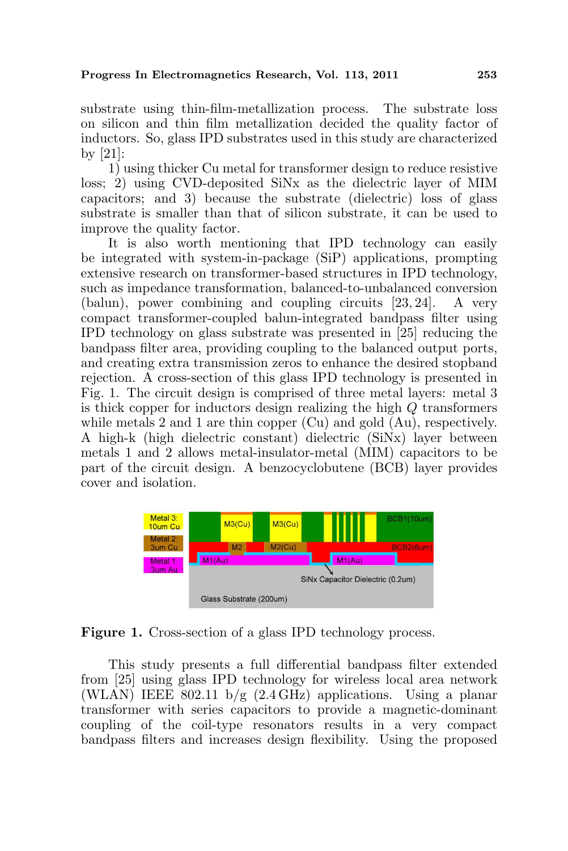substrate using thin-film-metallization process. The substrate loss on silicon and thin film metallization decided the quality factor of inductors. So, glass IPD substrates used in this study are characterized by [21]:

1) using thicker Cu metal for transformer design to reduce resistive loss; 2) using CVD-deposited SiNx as the dielectric layer of MIM capacitors; and 3) because the substrate (dielectric) loss of glass substrate is smaller than that of silicon substrate, it can be used to improve the quality factor.

It is also worth mentioning that IPD technology can easily be integrated with system-in-package (SiP) applications, prompting extensive research on transformer-based structures in IPD technology, such as impedance transformation, balanced-to-unbalanced conversion (balun), power combining and coupling circuits [23, 24]. A very compact transformer-coupled balun-integrated bandpass filter using IPD technology on glass substrate was presented in [25] reducing the bandpass filter area, providing coupling to the balanced output ports, and creating extra transmission zeros to enhance the desired stopband rejection. A cross-section of this glass IPD technology is presented in Fig. 1. The circuit design is comprised of three metal layers: metal 3 is thick copper for inductors design realizing the high Q transformers while metals 2 and 1 are thin copper (Cu) and gold (Au), respectively. A high-k (high dielectric constant) dielectric (SiNx) layer between metals 1 and 2 allows metal-insulator-metal (MIM) capacitors to be part of the circuit design. A benzocyclobutene (BCB) layer provides cover and isolation.



Figure 1. Cross-section of a glass IPD technology process.

This study presents a full differential bandpass filter extended from [25] using glass IPD technology for wireless local area network (WLAN) IEEE 802.11 b/g  $(2.4 \text{ GHz})$  applications. Using a planar transformer with series capacitors to provide a magnetic-dominant coupling of the coil-type resonators results in a very compact bandpass filters and increases design flexibility. Using the proposed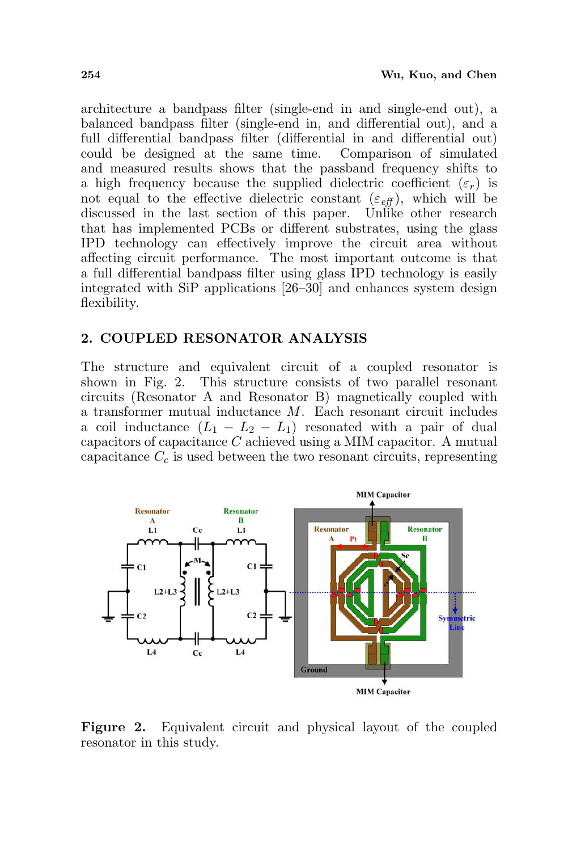architecture a bandpass filter (single-end in and single-end out), a balanced bandpass filter (single-end in, and differential out), and a full differential bandpass filter (differential in and differential out) could be designed at the same time. Comparison of simulated and measured results shows that the passband frequency shifts to a high frequency because the supplied dielectric coefficient  $(\varepsilon_r)$  is not equal to the effective dielectric constant  $(\varepsilon_{\text{eff}})$ , which will be discussed in the last section of this paper. Unlike other research that has implemented PCBs or different substrates, using the glass IPD technology can effectively improve the circuit area without affecting circuit performance. The most important outcome is that a full differential bandpass filter using glass IPD technology is easily integrated with SiP applications [26–30] and enhances system design flexibility.

### 2. COUPLED RESONATOR ANALYSIS

The structure and equivalent circuit of a coupled resonator is shown in Fig. 2. This structure consists of two parallel resonant circuits (Resonator A and Resonator B) magnetically coupled with a transformer mutual inductance M. Each resonant circuit includes a coil inductance  $(L_1 - L_2 - L_1)$  resonated with a pair of dual capacitors of capacitance C achieved using a MIM capacitor. A mutual capacitance  $C_c$  is used between the two resonant circuits, representing



Figure 2. Equivalent circuit and physical layout of the coupled resonator in this study.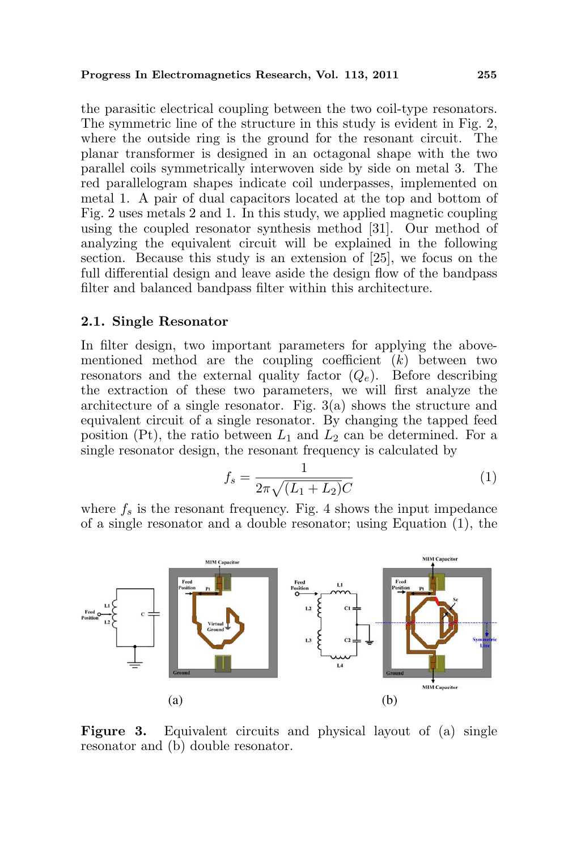the parasitic electrical coupling between the two coil-type resonators. The symmetric line of the structure in this study is evident in Fig. 2, where the outside ring is the ground for the resonant circuit. The planar transformer is designed in an octagonal shape with the two parallel coils symmetrically interwoven side by side on metal 3. The red parallelogram shapes indicate coil underpasses, implemented on metal 1. A pair of dual capacitors located at the top and bottom of Fig. 2 uses metals 2 and 1. In this study, we applied magnetic coupling using the coupled resonator synthesis method [31]. Our method of analyzing the equivalent circuit will be explained in the following section. Because this study is an extension of [25], we focus on the full differential design and leave aside the design flow of the bandpass filter and balanced bandpass filter within this architecture.

#### 2.1. Single Resonator

In filter design, two important parameters for applying the abovementioned method are the coupling coefficient  $(k)$  between two resonators and the external quality factor  $(Q_e)$ . Before describing the extraction of these two parameters, we will first analyze the architecture of a single resonator. Fig. 3(a) shows the structure and equivalent circuit of a single resonator. By changing the tapped feed position (Pt), the ratio between  $L_1$  and  $L_2$  can be determined. For a single resonator design, the resonant frequency is calculated by

$$
f_s = \frac{1}{2\pi\sqrt{(L_1 + L_2)}C} \tag{1}
$$

where  $f_s$  is the resonant frequency. Fig. 4 shows the input impedance of a single resonator and a double resonator; using Equation (1), the



Figure 3. Equivalent circuits and physical layout of (a) single resonator and (b) double resonator.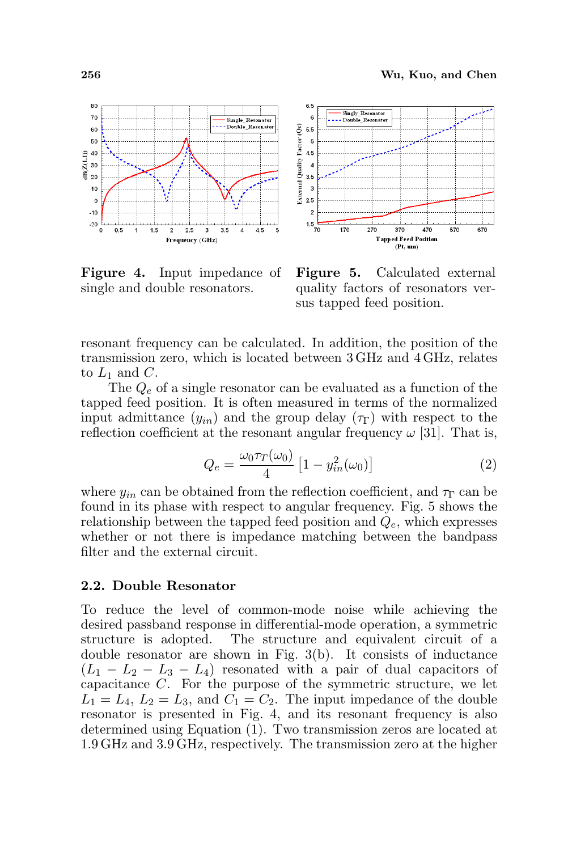

Figure 4. Input impedance of single and double resonators.



Figure 5. Calculated external quality factors of resonators versus tapped feed position.

resonant frequency can be calculated. In addition, the position of the transmission zero, which is located between 3 GHz and 4 GHz, relates to  $L_1$  and  $C$ .

The  $Q_e$  of a single resonator can be evaluated as a function of the tapped feed position. It is often measured in terms of the normalized input admittance  $(y_{in})$  and the group delay  $(\tau_{\Gamma})$  with respect to the reflection coefficient at the resonant angular frequency  $\omega$  [31]. That is,

$$
Q_e = \frac{\omega_0 \tau_T(\omega_0)}{4} \left[ 1 - y_{in}^2(\omega_0) \right] \tag{2}
$$

where  $y_{in}$  can be obtained from the reflection coefficient, and  $\tau_{\Gamma}$  can be found in its phase with respect to angular frequency. Fig. 5 shows the relationship between the tapped feed position and  $Q_e$ , which expresses whether or not there is impedance matching between the bandpass filter and the external circuit.

#### 2.2. Double Resonator

To reduce the level of common-mode noise while achieving the desired passband response in differential-mode operation, a symmetric structure is adopted. The structure and equivalent circuit of a double resonator are shown in Fig. 3(b). It consists of inductance  $(L_1 - L_2 - L_3 - L_4)$  resonated with a pair of dual capacitors of capacitance C. For the purpose of the symmetric structure, we let  $L_1 = L_4$ ,  $L_2 = L_3$ , and  $C_1 = C_2$ . The input impedance of the double resonator is presented in Fig. 4, and its resonant frequency is also determined using Equation (1). Two transmission zeros are located at 1.9 GHz and 3.9 GHz, respectively. The transmission zero at the higher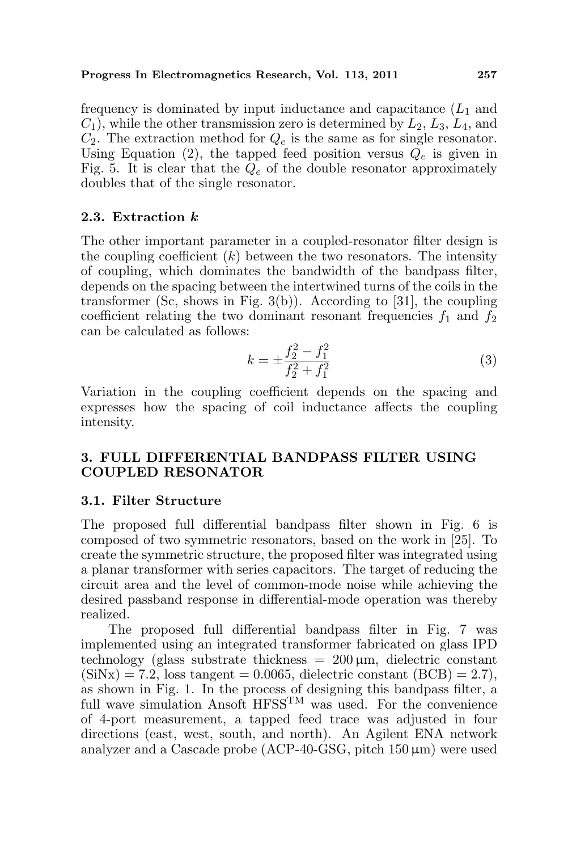frequency is dominated by input inductance and capacitance  $(L_1 \text{ and}$  $C_1$ , while the other transmission zero is determined by  $L_2$ ,  $L_3$ ,  $L_4$ , and  $C_2$ . The extraction method for  $Q_e$  is the same as for single resonator. Using Equation (2), the tapped feed position versus  $Q_e$  is given in Fig. 5. It is clear that the  $Q_e$  of the double resonator approximately doubles that of the single resonator.

# 2.3. Extraction k

The other important parameter in a coupled-resonator filter design is the coupling coefficient  $(k)$  between the two resonators. The intensity of coupling, which dominates the bandwidth of the bandpass filter, depends on the spacing between the intertwined turns of the coils in the transformer (Sc, shows in Fig. 3(b)). According to  $[31]$ , the coupling coefficient relating the two dominant resonant frequencies  $f_1$  and  $f_2$ can be calculated as follows:

$$
k = \pm \frac{f_2^2 - f_1^2}{f_2^2 + f_1^2} \tag{3}
$$

Variation in the coupling coefficient depends on the spacing and expresses how the spacing of coil inductance affects the coupling intensity.

# 3. FULL DIFFERENTIAL BANDPASS FILTER USING COUPLED RESONATOR

### 3.1. Filter Structure

The proposed full differential bandpass filter shown in Fig. 6 is composed of two symmetric resonators, based on the work in [25]. To create the symmetric structure, the proposed filter was integrated using a planar transformer with series capacitors. The target of reducing the circuit area and the level of common-mode noise while achieving the desired passband response in differential-mode operation was thereby realized.

The proposed full differential bandpass filter in Fig. 7 was implemented using an integrated transformer fabricated on glass IPD technology (glass substrate thickness  $= 200 \,\mu m$ , dielectric constant  $(SiNx) = 7.2$ , loss tangent = 0.0065, dielectric constant  $(BCB) = 2.7$ ), as shown in Fig. 1. In the process of designing this bandpass filter, a full wave simulation Ansoft HFSS<sup>TM</sup> was used. For the convenience of 4-port measurement, a tapped feed trace was adjusted in four directions (east, west, south, and north). An Agilent ENA network analyzer and a Cascade probe  $(ACP-40-GSG, pitch 150 \mu m)$  were used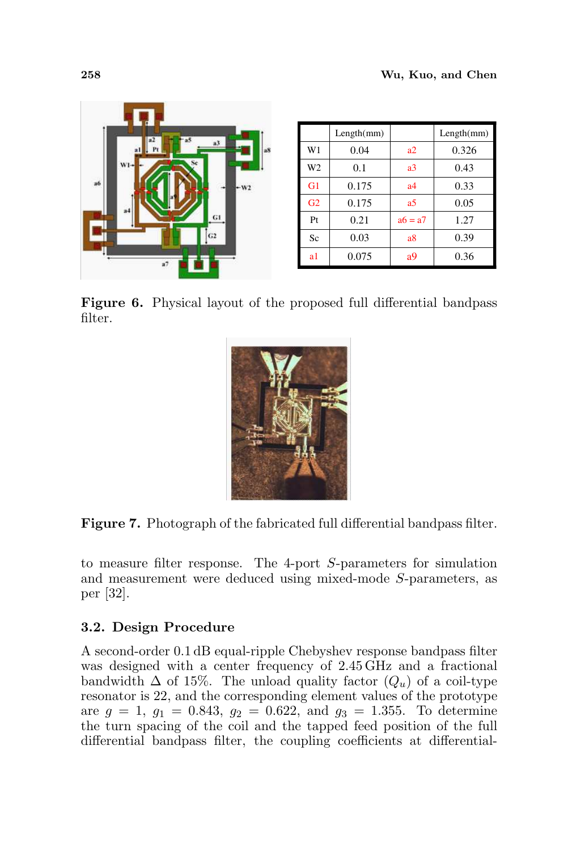

Figure 6. Physical layout of the proposed full differential bandpass filter.



Figure 7. Photograph of the fabricated full differential bandpass filter.

to measure filter response. The 4-port S-parameters for simulation and measurement were deduced using mixed-mode S-parameters, as per [32].

# 3.2. Design Procedure

A second-order 0.1 dB equal-ripple Chebyshev response bandpass filter was designed with a center frequency of 2.45 GHz and a fractional bandwidth  $\Delta$  of 15%. The unload quality factor  $(Q_u)$  of a coil-type resonator is 22, and the corresponding element values of the prototype are  $g = 1$ ,  $g_1 = 0.843$ ,  $g_2 = 0.622$ , and  $g_3 = 1.355$ . To determine the turn spacing of the coil and the tapped feed position of the full differential bandpass filter, the coupling coefficients at differential-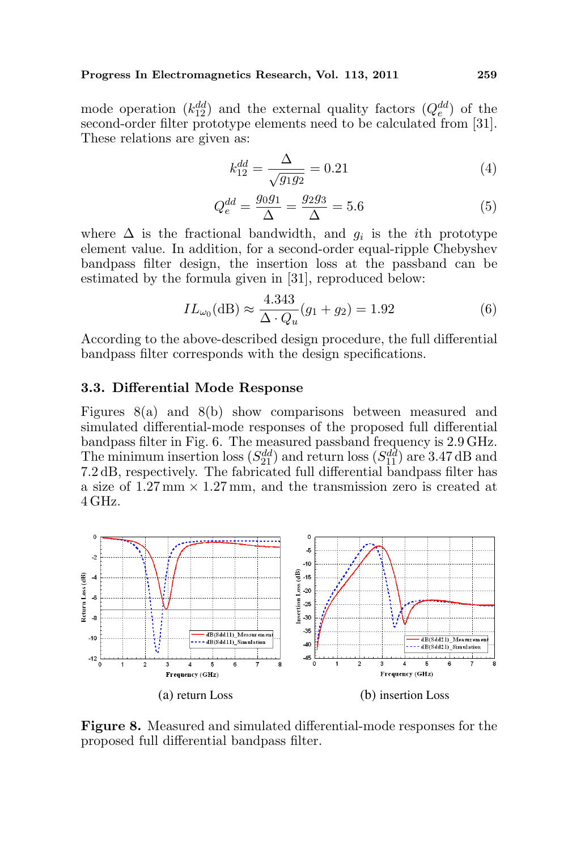#### Progress In Electromagnetics Research, Vol. 113, 2011 259

mode operation  $(k_{12}^{dd})$  and the external quality factors  $(Q_e^{dd})$  of the second-order filter prototype elements need to be calculated from [31]. These relations are given as:

$$
k_{12}^{dd} = \frac{\Delta}{\sqrt{g_1 g_2}} = 0.21\tag{4}
$$

$$
Q_e^{dd} = \frac{g_0 g_1}{\Delta} = \frac{g_2 g_3}{\Delta} = 5.6\tag{5}
$$

where  $\Delta$  is the fractional bandwidth, and  $g_i$  is the *i*th prototype element value. In addition, for a second-order equal-ripple Chebyshev bandpass filter design, the insertion loss at the passband can be estimated by the formula given in [31], reproduced below:

$$
IL_{\omega_0}(\text{dB}) \approx \frac{4.343}{\Delta \cdot Q_u}(g_1 + g_2) = 1.92
$$
 (6)

According to the above-described design procedure, the full differential bandpass filter corresponds with the design specifications.

#### 3.3. Differential Mode Response

Figures 8(a) and 8(b) show comparisons between measured and simulated differential-mode responses of the proposed full differential bandpass filter in Fig. 6. The measured passband frequency is 2.9 GHz. The minimum insertion loss  $(S_{21}^{dd})$  and return loss  $(S_{11}^{dd})$  are 3.47 dB and 7.2 dB, respectively. The fabricated full differential bandpass filter has a size of  $1.27 \text{ mm} \times 1.27 \text{ mm}$ , and the transmission zero is created at 4 GHz.



Figure 8. Measured and simulated differential-mode responses for the proposed full differential bandpass filter.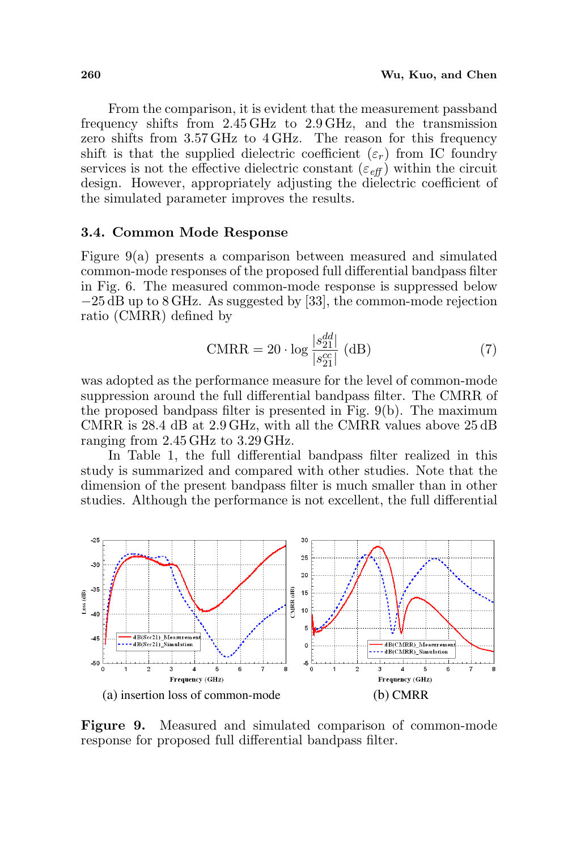From the comparison, it is evident that the measurement passband frequency shifts from 2.45 GHz to 2.9 GHz, and the transmission zero shifts from 3.57 GHz to 4 GHz. The reason for this frequency shift is that the supplied dielectric coefficient  $(\varepsilon_r)$  from IC foundry services is not the effective dielectric constant  $(\varepsilon_{\text{eff}})$  within the circuit design. However, appropriately adjusting the dielectric coefficient of the simulated parameter improves the results.

#### 3.4. Common Mode Response

Figure 9(a) presents a comparison between measured and simulated common-mode responses of the proposed full differential bandpass filter in Fig. 6. The measured common-mode response is suppressed below −25 dB up to 8 GHz. As suggested by [33], the common-mode rejection ratio (CMRR) defined by

$$
CMRR = 20 \cdot \log \frac{|s_{21}^{dd}|}{|s_{21}^{cc}|} \text{ (dB)}
$$
 (7)

was adopted as the performance measure for the level of common-mode suppression around the full differential bandpass filter. The CMRR of the proposed bandpass filter is presented in Fig. 9(b). The maximum CMRR is 28.4 dB at 2.9 GHz, with all the CMRR values above 25 dB ranging from 2.45 GHz to 3.29 GHz.

In Table 1, the full differential bandpass filter realized in this study is summarized and compared with other studies. Note that the dimension of the present bandpass filter is much smaller than in other studies. Although the performance is not excellent, the full differential



Figure 9. Measured and simulated comparison of common-mode response for proposed full differential bandpass filter.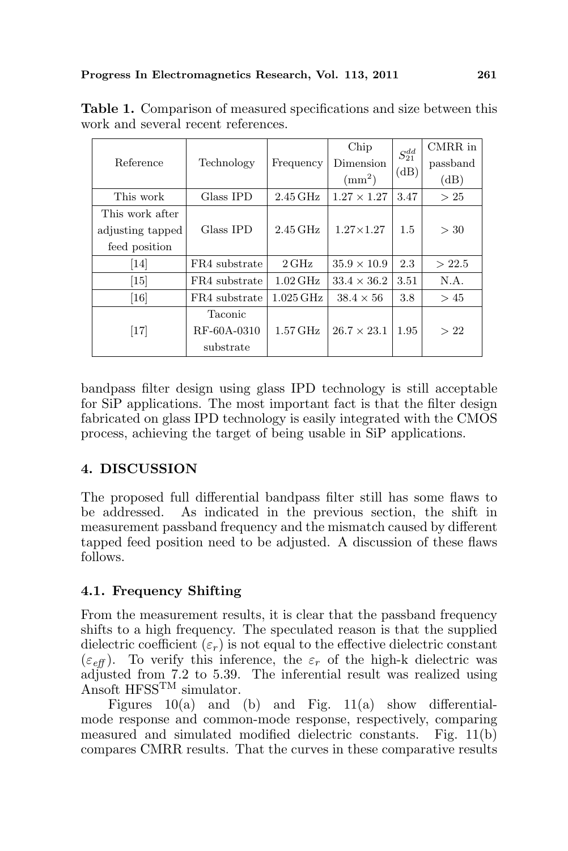| Reference         | Technology    | Frequency             | Chip<br>Dimension  | $S_{21}^{dd}$ | CMRR in<br>passband |
|-------------------|---------------|-----------------------|--------------------|---------------|---------------------|
|                   |               |                       | $\rm (mm^2)$       | (dB)          | (dB)                |
| This work         | Glass IPD     | $2.45\,\mathrm{GHz}$  | $1.27 \times 1.27$ | 3.47          | >25                 |
| This work after   |               |                       |                    |               |                     |
| adjusting tapped  | Glass IPD     | $2.45\,\mathrm{GHz}$  | $1.27 \times 1.27$ | 1.5           | >30                 |
| feed position     |               |                       |                    |               |                     |
| 14                | FR4 substrate | $2\,\text{GHz}$       | $35.9 \times 10.9$ | 2.3           | > 22.5              |
| $\left[15\right]$ | FR4 substrate | $1.02\,\mathrm{GHz}$  | $33.4 \times 36.2$ | 3.51          | N.A.                |
| $[16]$            | FR4 substrate | $1.025\,\mathrm{GHz}$ | $38.4 \times 56$   | 3.8           | >45                 |
|                   | Taconic       |                       |                    |               |                     |
| $[17]$            | RF-60A-0310   | $1.57\,\mathrm{GHz}$  | $26.7 \times 23.1$ | 1.95          | >22                 |
|                   | substrate     |                       |                    |               |                     |

Table 1. Comparison of measured specifications and size between this work and several recent references.

bandpass filter design using glass IPD technology is still acceptable for SiP applications. The most important fact is that the filter design fabricated on glass IPD technology is easily integrated with the CMOS process, achieving the target of being usable in SiP applications.

# 4. DISCUSSION

The proposed full differential bandpass filter still has some flaws to be addressed. As indicated in the previous section, the shift in measurement passband frequency and the mismatch caused by different tapped feed position need to be adjusted. A discussion of these flaws follows.

# 4.1. Frequency Shifting

From the measurement results, it is clear that the passband frequency shifts to a high frequency. The speculated reason is that the supplied dielectric coefficient  $(\varepsilon_r)$  is not equal to the effective dielectric constant  $(\varepsilon_{\text{eff}})$ . To verify this inference, the  $\varepsilon_r$  of the high-k dielectric was adjusted from 7.2 to 5.39. The inferential result was realized using Ansoft HFSSTM simulator.

Figures 10(a) and (b) and Fig. 11(a) show differentialmode response and common-mode response, respectively, comparing measured and simulated modified dielectric constants. Fig. 11(b) compares CMRR results. That the curves in these comparative results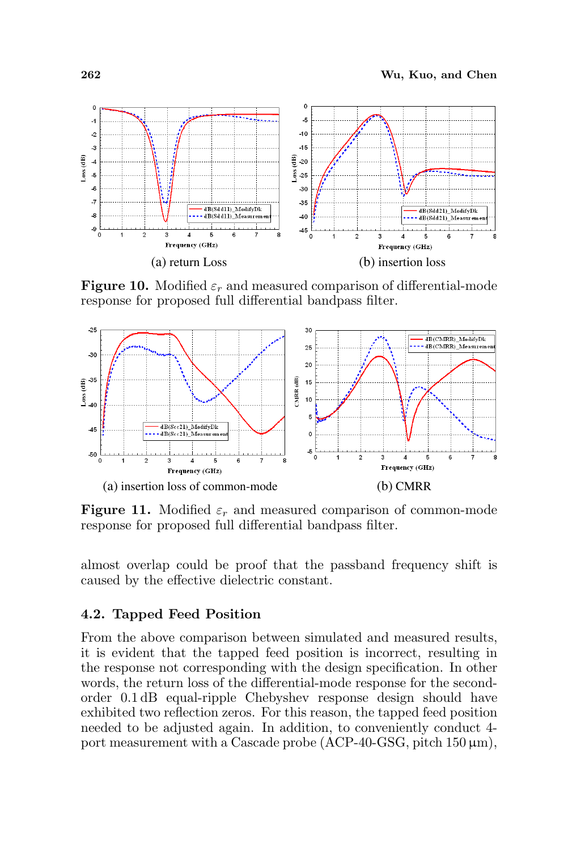

**Figure 10.** Modified  $\varepsilon_r$  and measured comparison of differential-mode response for proposed full differential bandpass filter.



**Figure 11.** Modified  $\varepsilon_r$  and measured comparison of common-mode response for proposed full differential bandpass filter.

almost overlap could be proof that the passband frequency shift is caused by the effective dielectric constant.

### 4.2. Tapped Feed Position

From the above comparison between simulated and measured results, it is evident that the tapped feed position is incorrect, resulting in the response not corresponding with the design specification. In other words, the return loss of the differential-mode response for the secondorder 0.1 dB equal-ripple Chebyshev response design should have exhibited two reflection zeros. For this reason, the tapped feed position needed to be adjusted again. In addition, to conveniently conduct 4 port measurement with a Cascade probe  $(ACP-40-GSG, pitch 150 \mu m)$ ,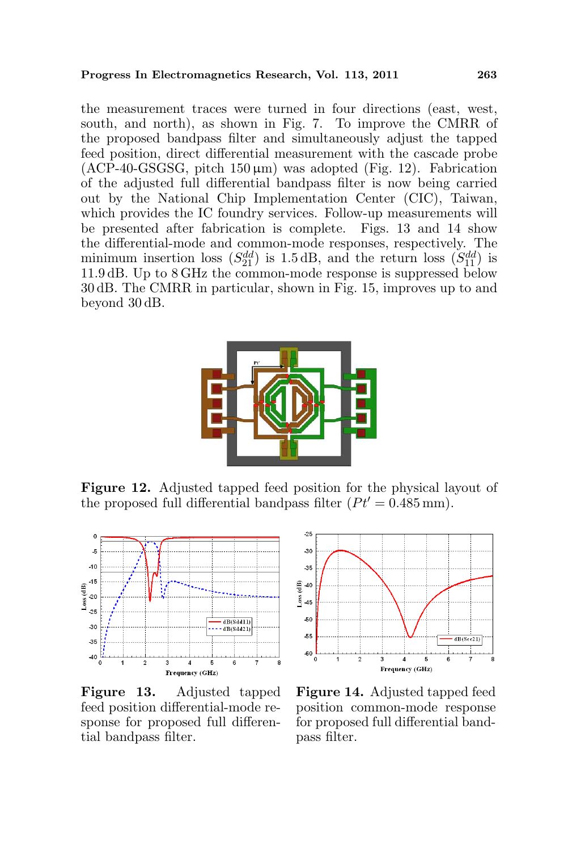the measurement traces were turned in four directions (east, west, south, and north), as shown in Fig. 7. To improve the CMRR of the proposed bandpass filter and simultaneously adjust the tapped feed position, direct differential measurement with the cascade probe  $(ACP-40-GSGSG, pitch 150 \mu m)$  was adopted (Fig. 12). Fabrication of the adjusted full differential bandpass filter is now being carried out by the National Chip Implementation Center (CIC), Taiwan, which provides the IC foundry services. Follow-up measurements will be presented after fabrication is complete. Figs. 13 and 14 show the differential-mode and common-mode responses, respectively. The minimum insertion loss  $(S_{21}^{dd})$  is 1.5 dB, and the return loss  $(S_{11}^{dd})$  is 11.9 dB. Up to 8 GHz the common-mode response is suppressed below 30 dB. The CMRR in particular, shown in Fig. 15, improves up to and beyond 30 dB.



Figure 12. Adjusted tapped feed position for the physical layout of the proposed full differential bandpass filter  $(Pt' = 0.485 \text{ mm})$ .



Figure 13. Adjusted tapped feed position differential-mode response for proposed full differential bandpass filter.



Figure 14. Adjusted tapped feed position common-mode response for proposed full differential bandpass filter.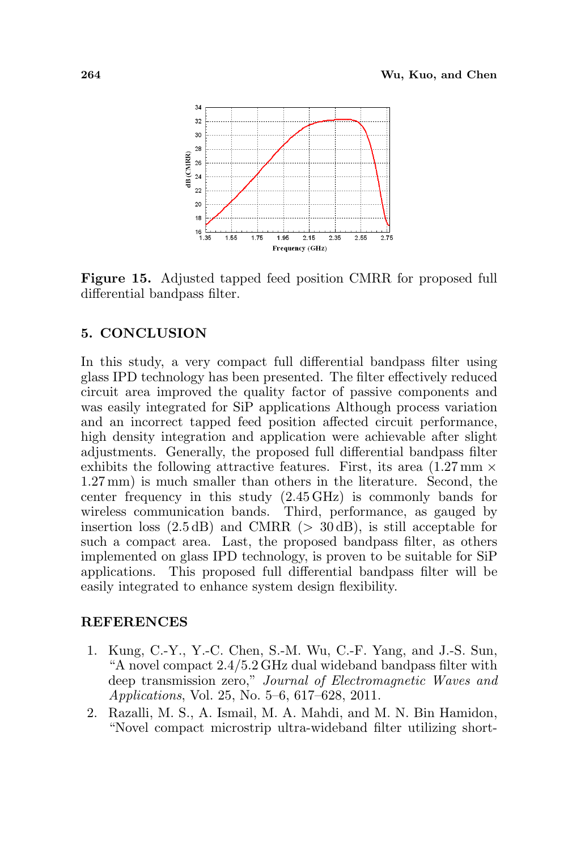

Figure 15. Adjusted tapped feed position CMRR for proposed full differential bandpass filter.

## 5. CONCLUSION

In this study, a very compact full differential bandpass filter using glass IPD technology has been presented. The filter effectively reduced circuit area improved the quality factor of passive components and was easily integrated for SiP applications Although process variation and an incorrect tapped feed position affected circuit performance, high density integration and application were achievable after slight adjustments. Generally, the proposed full differential bandpass filter exhibits the following attractive features. First, its area  $(1.27 \text{ mm} \times$ 1.27 mm) is much smaller than others in the literature. Second, the center frequency in this study (2.45 GHz) is commonly bands for wireless communication bands. Third, performance, as gauged by insertion loss  $(2.5 \text{ dB})$  and CMRR ( $> 30 \text{ dB}$ ), is still acceptable for such a compact area. Last, the proposed bandpass filter, as others implemented on glass IPD technology, is proven to be suitable for SiP applications. This proposed full differential bandpass filter will be easily integrated to enhance system design flexibility.

#### REFERENCES

- 1. Kung, C.-Y., Y.-C. Chen, S.-M. Wu, C.-F. Yang, and J.-S. Sun, "A novel compact 2.4/5.2 GHz dual wideband bandpass filter with deep transmission zero," Journal of Electromagnetic Waves and Applications, Vol. 25, No. 5–6, 617–628, 2011.
- 2. Razalli, M. S., A. Ismail, M. A. Mahdi, and M. N. Bin Hamidon, "Novel compact microstrip ultra-wideband filter utilizing short-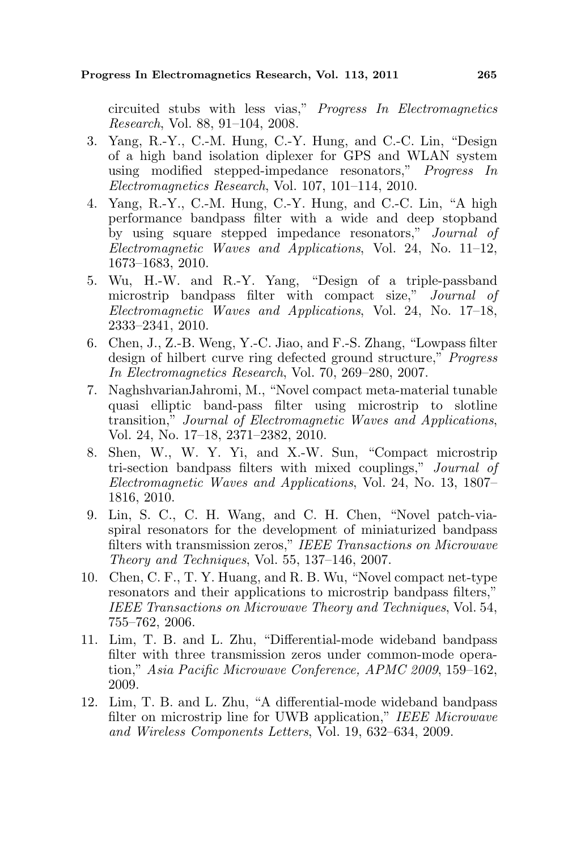circuited stubs with less vias," Progress In Electromagnetics Research, Vol. 88, 91–104, 2008.

- 3. Yang, R.-Y., C.-M. Hung, C.-Y. Hung, and C.-C. Lin, "Design of a high band isolation diplexer for GPS and WLAN system using modified stepped-impedance resonators," Progress In Electromagnetics Research, Vol. 107, 101–114, 2010.
- 4. Yang, R.-Y., C.-M. Hung, C.-Y. Hung, and C.-C. Lin, "A high performance bandpass filter with a wide and deep stopband by using square stepped impedance resonators," Journal of Electromagnetic Waves and Applications, Vol. 24, No. 11–12, 1673–1683, 2010.
- 5. Wu, H.-W. and R.-Y. Yang, "Design of a triple-passband microstrip bandpass filter with compact size," Journal of Electromagnetic Waves and Applications, Vol. 24, No. 17–18, 2333–2341, 2010.
- 6. Chen, J., Z.-B. Weng, Y.-C. Jiao, and F.-S. Zhang, "Lowpass filter design of hilbert curve ring defected ground structure," Progress In Electromagnetics Research, Vol. 70, 269–280, 2007.
- 7. NaghshvarianJahromi, M., "Novel compact meta-material tunable quasi elliptic band-pass filter using microstrip to slotline transition," Journal of Electromagnetic Waves and Applications, Vol. 24, No. 17–18, 2371–2382, 2010.
- 8. Shen, W., W. Y. Yi, and X.-W. Sun, "Compact microstrip tri-section bandpass filters with mixed couplings," Journal of Electromagnetic Waves and Applications, Vol. 24, No. 13, 1807– 1816, 2010.
- 9. Lin, S. C., C. H. Wang, and C. H. Chen, "Novel patch-viaspiral resonators for the development of miniaturized bandpass filters with transmission zeros," IEEE Transactions on Microwave Theory and Techniques, Vol. 55, 137–146, 2007.
- 10. Chen, C. F., T. Y. Huang, and R. B. Wu, "Novel compact net-type resonators and their applications to microstrip bandpass filters," IEEE Transactions on Microwave Theory and Techniques, Vol. 54, 755–762, 2006.
- 11. Lim, T. B. and L. Zhu, "Differential-mode wideband bandpass filter with three transmission zeros under common-mode operation," Asia Pacific Microwave Conference, APMC 2009, 159–162, 2009.
- 12. Lim, T. B. and L. Zhu, "A differential-mode wideband bandpass filter on microstrip line for UWB application," IEEE Microwave and Wireless Components Letters, Vol. 19, 632–634, 2009.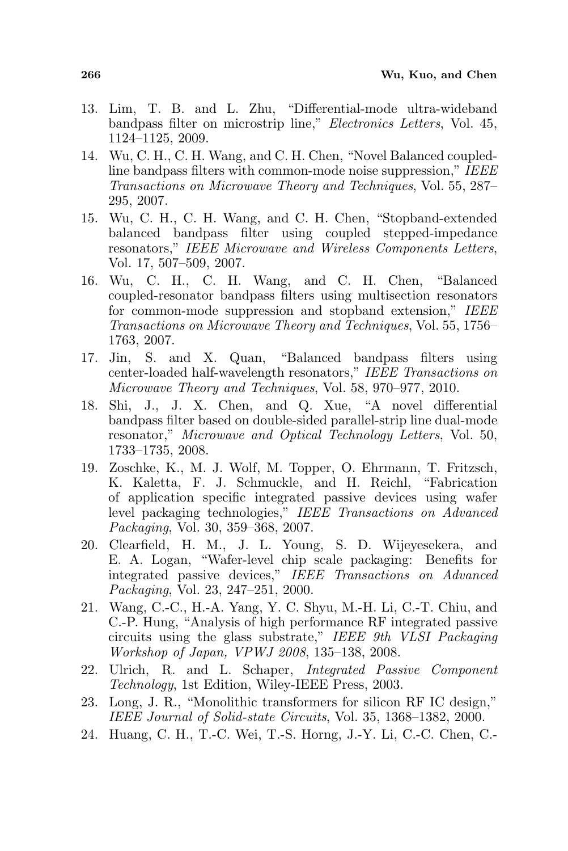- 13. Lim, T. B. and L. Zhu, "Differential-mode ultra-wideband bandpass filter on microstrip line," Electronics Letters, Vol. 45, 1124–1125, 2009.
- 14. Wu, C. H., C. H. Wang, and C. H. Chen, "Novel Balanced coupledline bandpass filters with common-mode noise suppression," IEEE Transactions on Microwave Theory and Techniques, Vol. 55, 287– 295, 2007.
- 15. Wu, C. H., C. H. Wang, and C. H. Chen, "Stopband-extended balanced bandpass filter using coupled stepped-impedance resonators," IEEE Microwave and Wireless Components Letters, Vol. 17, 507–509, 2007.
- 16. Wu, C. H., C. H. Wang, and C. H. Chen, "Balanced coupled-resonator bandpass filters using multisection resonators for common-mode suppression and stopband extension," IEEE Transactions on Microwave Theory and Techniques, Vol. 55, 1756– 1763, 2007.
- 17. Jin, S. and X. Quan, "Balanced bandpass filters using center-loaded half-wavelength resonators," IEEE Transactions on Microwave Theory and Techniques, Vol. 58, 970–977, 2010.
- 18. Shi, J., J. X. Chen, and Q. Xue, "A novel differential bandpass filter based on double-sided parallel-strip line dual-mode resonator," Microwave and Optical Technology Letters, Vol. 50, 1733–1735, 2008.
- 19. Zoschke, K., M. J. Wolf, M. Topper, O. Ehrmann, T. Fritzsch, K. Kaletta, F. J. Schmuckle, and H. Reichl, "Fabrication of application specific integrated passive devices using wafer level packaging technologies," IEEE Transactions on Advanced Packaging, Vol. 30, 359–368, 2007.
- 20. Clearfield, H. M., J. L. Young, S. D. Wijeyesekera, and E. A. Logan, "Wafer-level chip scale packaging: Benefits for integrated passive devices," IEEE Transactions on Advanced Packaging, Vol. 23, 247–251, 2000.
- 21. Wang, C.-C., H.-A. Yang, Y. C. Shyu, M.-H. Li, C.-T. Chiu, and C.-P. Hung, "Analysis of high performance RF integrated passive circuits using the glass substrate," IEEE 9th VLSI Packaging Workshop of Japan, VPWJ 2008, 135–138, 2008.
- 22. Ulrich, R. and L. Schaper, Integrated Passive Component Technology, 1st Edition, Wiley-IEEE Press, 2003.
- 23. Long, J. R., "Monolithic transformers for silicon RF IC design," IEEE Journal of Solid-state Circuits, Vol. 35, 1368–1382, 2000.
- 24. Huang, C. H., T.-C. Wei, T.-S. Horng, J.-Y. Li, C.-C. Chen, C.-